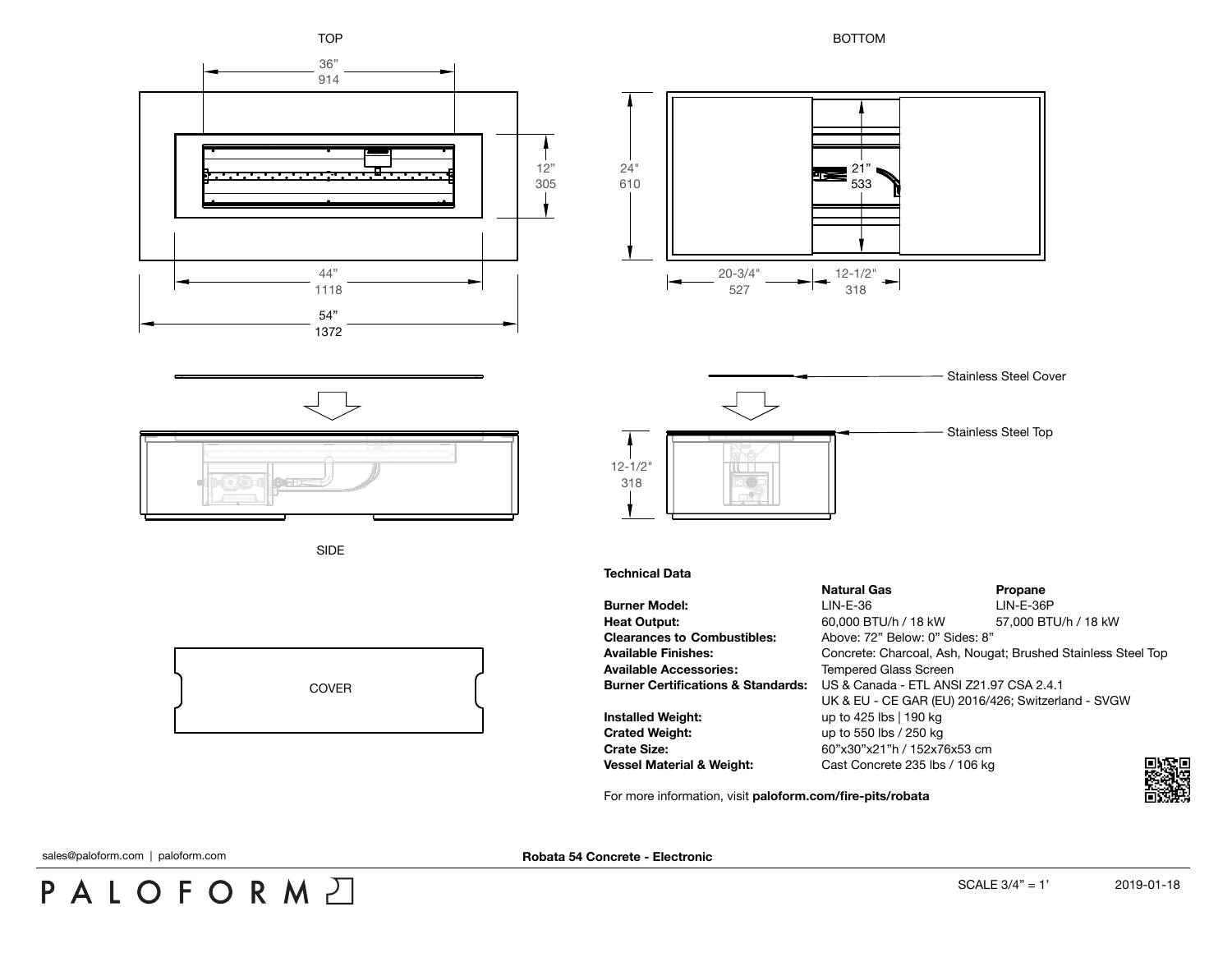

For more information, visit **[paloform.com/fire-pits/robata](http://paloform.com/fire-pits/robata)**

sales@paloform.com | paloform.com

PALOFORMA

**Robata 54 Concrete - Electronic**